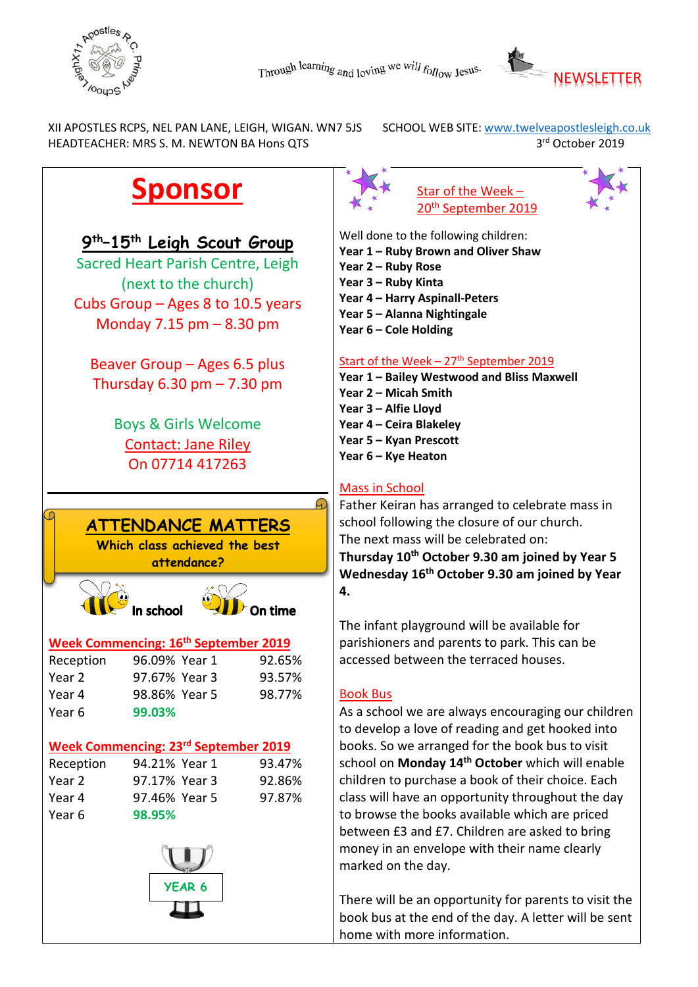



 XII APOSTLES RCPS, NEL PAN LANE, LEIGH, WIGAN. WN7 5JS SCHOOL WEB SITE: [www.twelveapostlesleigh.co.uk](http://www.twelveapostlesleigh.co.uk/)  HEADTEACHER: MRS S. M. NEWTON BA Hons QTS 3rd October 2019

# **Sponsor**

# **9th–15th Leigh Scout Group**

Sacred Heart Parish Centre, Leigh (next to the church) Cubs Group – Ages 8 to 10.5 years Monday 7.15 pm – 8.30 pm

Beaver Group – Ages 6.5 plus Thursday  $6.30$  pm  $- 7.30$  pm

> Boys & Girls Welcome Contact: Jane Riley On 07714 417263



#### **Week Commencing: 16th September 2019**

| Reception | 96.09% Year 1 | 92.65% |
|-----------|---------------|--------|
| Year 2    | 97.67% Year 3 | 93.57% |
| Year 4    | 98.86% Year 5 | 98.77% |
| Year 6    | 99.03%        |        |

#### **Week Commencing: 23rd September 2019**

| Reception | 94.21% Year 1 | 93.47% |
|-----------|---------------|--------|
| Year 2    | 97.17% Year 3 | 92.86% |
| Year 4    | 97.46% Year 5 | 97.87% |
| Year 6    | 98.95%        |        |





Well done to the following children:

- **Year 1 – Ruby Brown and Oliver Shaw**
- **Year 2 – Ruby Rose**
- **Year 3 – Ruby Kinta**
- **Year 4 – Harry Aspinall-Peters**
- **Year 5 – Alanna Nightingale**
- **Year 6 – Cole Holding**

#### Start of the Week  $-27$ <sup>th</sup> September 2019

- **Year 1 – Bailey Westwood and Bliss Maxwell Year 2 – Micah Smith**
- **Year 3 – Alfie Lloyd**
- **Year 4 – Ceira Blakeley**
- **Year 5 – Kyan Prescott**
- **Year 6 – Kye Heaton**

## Mass in School

Father Keiran has arranged to celebrate mass in school following the closure of our church. The next mass will be celebrated on: **Thursday 10th October 9.30 am joined by Year 5 Wednesday 16th October 9.30 am joined by Year 4.**

The infant playground will be available for parishioners and parents to park. This can be accessed between the terraced houses.

#### Book Bus

As a school we are always encouraging our children to develop a love of reading and get hooked into books. So we arranged for the book bus to visit school on **Monday 14th October** which will enable children to purchase a book of their choice. Each class will have an opportunity throughout the day to browse the books available which are priced between £3 and £7. Children are asked to bring money in an envelope with their name clearly marked on the day.

There will be an opportunity for parents to visit the book bus at the end of the day. A letter will be sent home with more information.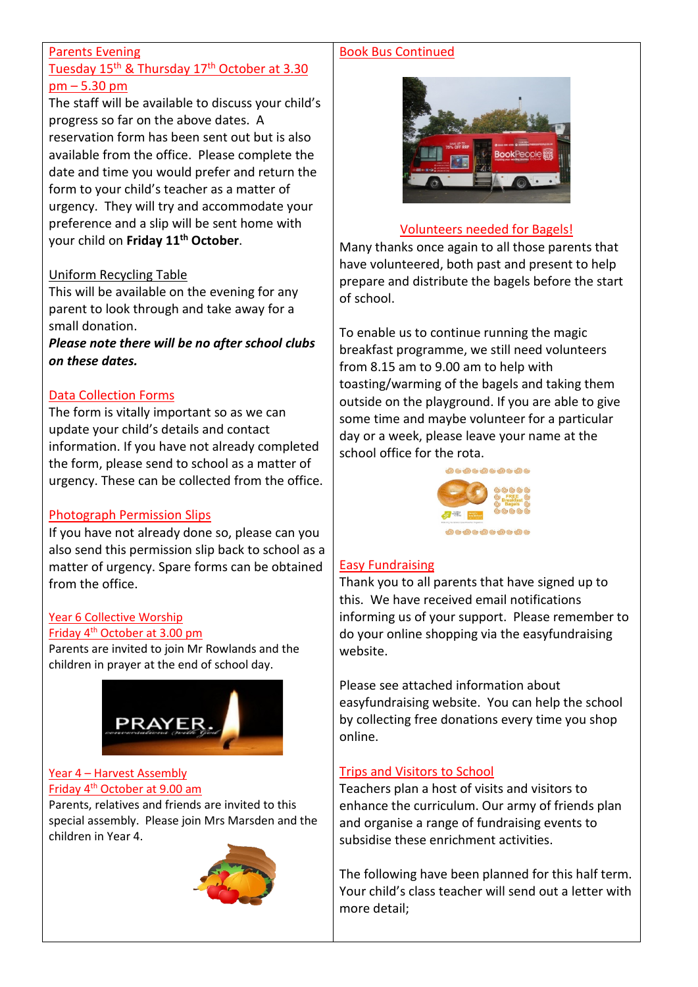#### Parents Evening

#### Tuesday 15<sup>th</sup> & Thursday 17<sup>th</sup> October at 3.30 pm – 5.30 pm

The staff will be available to discuss your child's progress so far on the above dates. A reservation form has been sent out but is also available from the office. Please complete the date and time you would prefer and return the form to your child's teacher as a matter of urgency. They will try and accommodate your preference and a slip will be sent home with your child on **Friday 11th October**.

#### Uniform Recycling Table

This will be available on the evening for any parent to look through and take away for a small donation.

*Please note there will be no after school clubs on these dates.*

#### Data Collection Forms

The form is vitally important so as we can update your child's details and contact information. If you have not already completed the form, please send to school as a matter of urgency. These can be collected from the office.

#### Photograph Permission Slips

If you have not already done so, please can you also send this permission slip back to school as a matter of urgency. Spare forms can be obtained from the office.

# Year 6 Collective Worship

#### Friday 4th October at 3.00 pm

Parents are invited to join Mr Rowlands and the children in prayer at the end of school day.



#### Year 4 – Harvest Assembly Friday 4th October at 9.00 am

Parents, relatives and friends are invited to this special assembly. Please join Mrs Marsden and the children in Year 4.



## Book Bus Continued



#### Volunteers needed for Bagels!

Many thanks once again to all those parents that have volunteered, both past and present to help prepare and distribute the bagels before the start of school.

To enable us to continue running the magic breakfast programme, we still need volunteers from 8.15 am to 9.00 am to help with toasting/warming of the bagels and taking them outside on the playground. If you are able to give some time and maybe volunteer for a particular day or a week, please leave your name at the school office for the rota.



#### **Easy Fundraising**

Thank you to all parents that have signed up to this. We have received email notifications informing us of your support. Please remember to do your online shopping via the easyfundraising website.

Please see attached information about easyfundraising website. You can help the school by collecting free donations every time you shop online.

#### Trips and Visitors to School

Teachers plan a host of visits and visitors to enhance the curriculum. Our army of friends plan and organise a range of fundraising events to subsidise these enrichment activities.

The following have been planned for this half term. Your child's class teacher will send out a letter with more detail;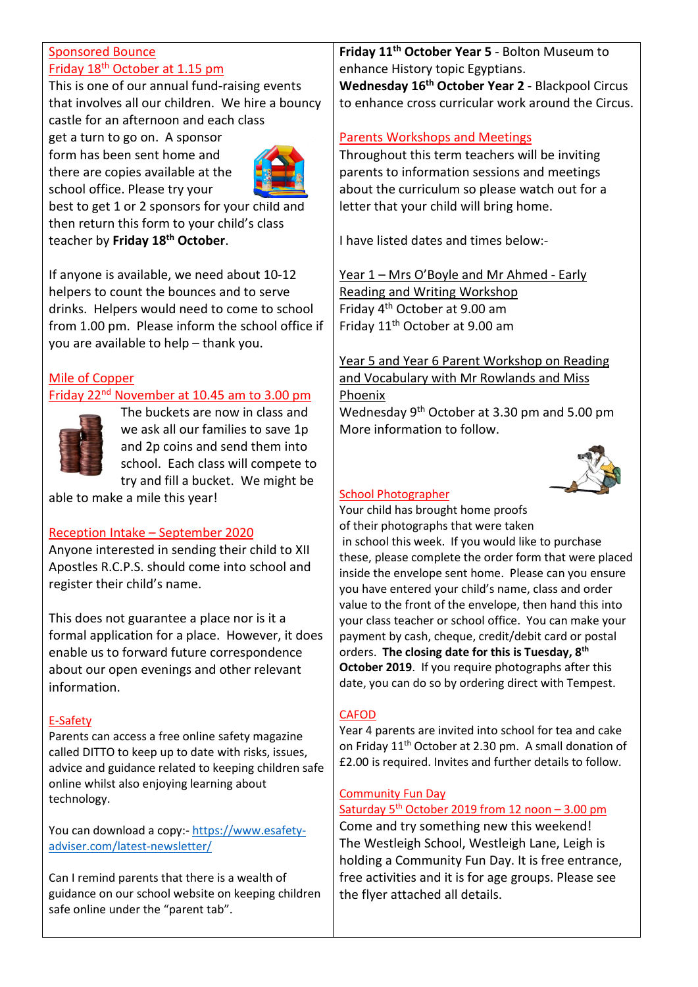#### Sponsored Bounce Friday 18<sup>th</sup> October at 1.15 pm

This is one of our annual fund-raising events that involves all our children. We hire a bouncy castle for an afternoon and each class

get a turn to go on. A sponsor form has been sent home and there are copies available at the school office. Please try your



best to get 1 or 2 sponsors for your child and then return this form to your child's class teacher by **Friday 18th October**.

If anyone is available, we need about 10-12 helpers to count the bounces and to serve drinks. Helpers would need to come to school from 1.00 pm. Please inform the school office if you are available to help – thank you.

# Mile of Copper

# Friday 22nd November at 10.45 am to 3.00 pm



The buckets are now in class and we ask all our families to save 1p and 2p coins and send them into school. Each class will compete to try and fill a bucket. We might be

able to make a mile this year!

#### Reception Intake – September 2020

Anyone interested in sending their child to XII Apostles R.C.P.S. should come into school and register their child's name.

This does not guarantee a place nor is it a formal application for a place. However, it does enable us to forward future correspondence about our open evenings and other relevant information.

#### E-Safety

Parents can access a free online safety magazine called DITTO to keep up to date with risks, issues, advice and guidance related to keeping children safe online whilst also enjoying learning about technology.

You can download a copy:- [https://www.esafety](http://briefing.safeguardinginschools.co.uk/lt.php?s=86b94a8571d523f1ae6b56cb17727548&i=75A101A5A663)[adviser.com/latest-newsletter/](http://briefing.safeguardinginschools.co.uk/lt.php?s=86b94a8571d523f1ae6b56cb17727548&i=75A101A5A663)

Can I remind parents that there is a wealth of guidance on our school website on keeping children safe online under the "parent tab".

**Friday 11th October Year 5** - Bolton Museum to enhance History topic Egyptians. **Wednesday 16th October Year 2** - Blackpool Circus to enhance cross curricular work around the Circus.

## Parents Workshops and Meetings

Throughout this term teachers will be inviting parents to information sessions and meetings about the curriculum so please watch out for a letter that your child will bring home.

I have listed dates and times below:-

Year 1 – Mrs O'Boyle and Mr Ahmed - Early Reading and Writing Workshop Friday 4th October at 9.00 am Friday 11th October at 9.00 am

Year 5 and Year 6 Parent Workshop on Reading and Vocabulary with Mr Rowlands and Miss Phoenix Wednesday 9th October at 3.30 pm and 5.00 pm

More information to follow.



#### School Photographer

Your child has brought home proofs of their photographs that were taken

in school this week. If you would like to purchase these, please complete the order form that were placed inside the envelope sent home. Please can you ensure you have entered your child's name, class and order value to the front of the envelope, then hand this into your class teacher or school office. You can make your payment by cash, cheque, credit/debit card or postal orders. **The closing date for this is Tuesday, 8th October 2019**. If you require photographs after this date, you can do so by ordering direct with Tempest.

#### **CAFOD**

Year 4 parents are invited into school for tea and cake on Friday  $11<sup>th</sup>$  October at 2.30 pm. A small donation of £2.00 is required. Invites and further details to follow.

#### Community Fun Day

#### Saturday 5<sup>th</sup> October 2019 from 12 noon - 3.00 pm

Come and try something new this weekend! The Westleigh School, Westleigh Lane, Leigh is holding a Community Fun Day. It is free entrance, free activities and it is for age groups. Please see the flyer attached all details.